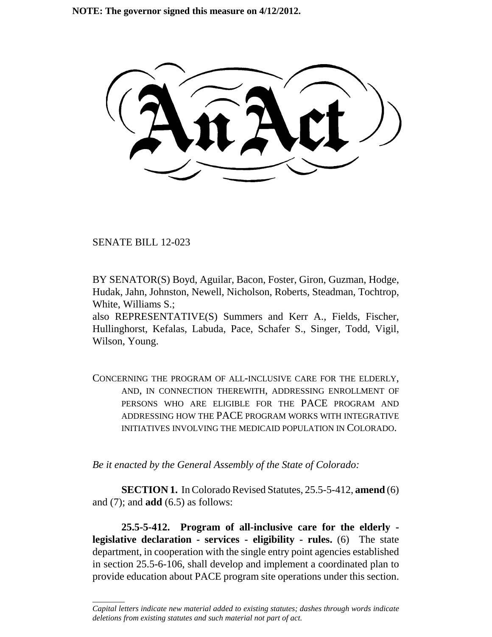SENATE BILL 12-023

\_\_\_\_\_\_\_\_

BY SENATOR(S) Boyd, Aguilar, Bacon, Foster, Giron, Guzman, Hodge, Hudak, Jahn, Johnston, Newell, Nicholson, Roberts, Steadman, Tochtrop, White, Williams S.;

also REPRESENTATIVE(S) Summers and Kerr A., Fields, Fischer, Hullinghorst, Kefalas, Labuda, Pace, Schafer S., Singer, Todd, Vigil, Wilson, Young.

CONCERNING THE PROGRAM OF ALL-INCLUSIVE CARE FOR THE ELDERLY, AND, IN CONNECTION THEREWITH, ADDRESSING ENROLLMENT OF PERSONS WHO ARE ELIGIBLE FOR THE PACE PROGRAM AND ADDRESSING HOW THE PACE PROGRAM WORKS WITH INTEGRATIVE INITIATIVES INVOLVING THE MEDICAID POPULATION IN COLORADO.

*Be it enacted by the General Assembly of the State of Colorado:*

**SECTION 1.** In Colorado Revised Statutes, 25.5-5-412, **amend** (6) and (7); and **add** (6.5) as follows:

**25.5-5-412. Program of all-inclusive care for the elderly legislative declaration - services - eligibility - rules.** (6) The state department, in cooperation with the single entry point agencies established in section 25.5-6-106, shall develop and implement a coordinated plan to provide education about PACE program site operations under this section.

*Capital letters indicate new material added to existing statutes; dashes through words indicate deletions from existing statutes and such material not part of act.*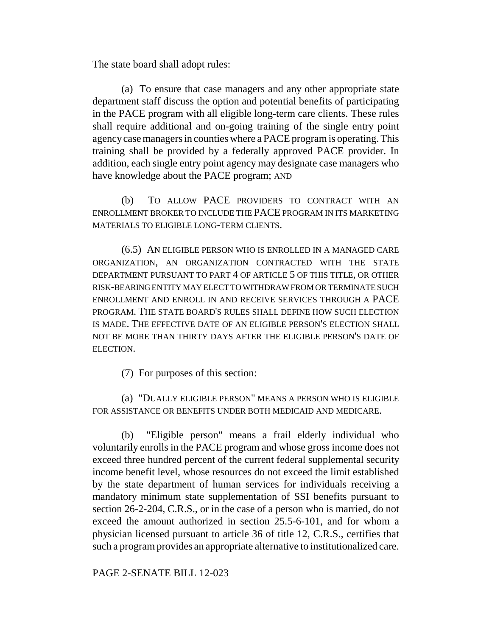The state board shall adopt rules:

(a) To ensure that case managers and any other appropriate state department staff discuss the option and potential benefits of participating in the PACE program with all eligible long-term care clients. These rules shall require additional and on-going training of the single entry point agency case managers in counties where a PACE program is operating. This training shall be provided by a federally approved PACE provider. In addition, each single entry point agency may designate case managers who have knowledge about the PACE program; AND

(b) TO ALLOW PACE PROVIDERS TO CONTRACT WITH AN ENROLLMENT BROKER TO INCLUDE THE PACE PROGRAM IN ITS MARKETING MATERIALS TO ELIGIBLE LONG-TERM CLIENTS.

(6.5) AN ELIGIBLE PERSON WHO IS ENROLLED IN A MANAGED CARE ORGANIZATION, AN ORGANIZATION CONTRACTED WITH THE STATE DEPARTMENT PURSUANT TO PART 4 OF ARTICLE 5 OF THIS TITLE, OR OTHER RISK-BEARING ENTITY MAY ELECT TO WITHDRAW FROM OR TERMINATE SUCH ENROLLMENT AND ENROLL IN AND RECEIVE SERVICES THROUGH A PACE PROGRAM. THE STATE BOARD'S RULES SHALL DEFINE HOW SUCH ELECTION IS MADE. THE EFFECTIVE DATE OF AN ELIGIBLE PERSON'S ELECTION SHALL NOT BE MORE THAN THIRTY DAYS AFTER THE ELIGIBLE PERSON'S DATE OF ELECTION.

(7) For purposes of this section:

(a) "DUALLY ELIGIBLE PERSON" MEANS A PERSON WHO IS ELIGIBLE FOR ASSISTANCE OR BENEFITS UNDER BOTH MEDICAID AND MEDICARE.

(b) "Eligible person" means a frail elderly individual who voluntarily enrolls in the PACE program and whose gross income does not exceed three hundred percent of the current federal supplemental security income benefit level, whose resources do not exceed the limit established by the state department of human services for individuals receiving a mandatory minimum state supplementation of SSI benefits pursuant to section 26-2-204, C.R.S., or in the case of a person who is married, do not exceed the amount authorized in section 25.5-6-101, and for whom a physician licensed pursuant to article 36 of title 12, C.R.S., certifies that such a program provides an appropriate alternative to institutionalized care.

PAGE 2-SENATE BILL 12-023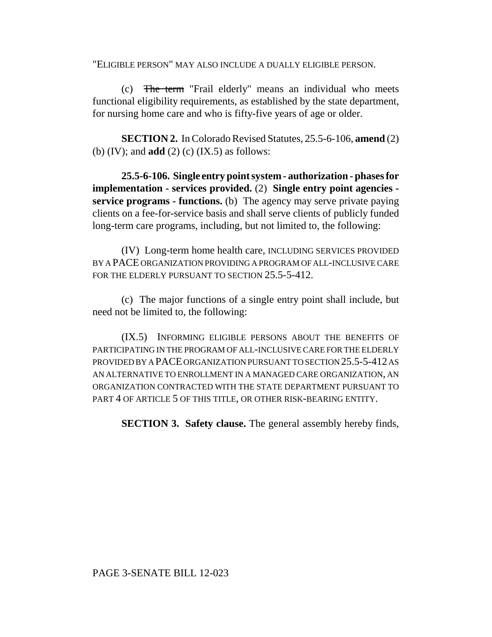"ELIGIBLE PERSON" MAY ALSO INCLUDE A DUALLY ELIGIBLE PERSON.

(c) The term "Frail elderly" means an individual who meets functional eligibility requirements, as established by the state department, for nursing home care and who is fifty-five years of age or older.

**SECTION 2.** In Colorado Revised Statutes, 25.5-6-106, **amend** (2) (b) (IV); and **add** (2) (c) (IX.5) as follows:

**25.5-6-106. Single entry point system - authorization - phases for implementation - services provided.** (2) **Single entry point agencies service programs - functions.** (b) The agency may serve private paying clients on a fee-for-service basis and shall serve clients of publicly funded long-term care programs, including, but not limited to, the following:

(IV) Long-term home health care, INCLUDING SERVICES PROVIDED BY A PACE ORGANIZATION PROVIDING A PROGRAM OF ALL-INCLUSIVE CARE FOR THE ELDERLY PURSUANT TO SECTION 25.5-5-412.

(c) The major functions of a single entry point shall include, but need not be limited to, the following:

(IX.5) INFORMING ELIGIBLE PERSONS ABOUT THE BENEFITS OF PARTICIPATING IN THE PROGRAM OF ALL-INCLUSIVE CARE FOR THE ELDERLY PROVIDED BY A PACE ORGANIZATION PURSUANT TO SECTION 25.5-5-412 AS AN ALTERNATIVE TO ENROLLMENT IN A MANAGED CARE ORGANIZATION, AN ORGANIZATION CONTRACTED WITH THE STATE DEPARTMENT PURSUANT TO PART 4 OF ARTICLE 5 OF THIS TITLE, OR OTHER RISK-BEARING ENTITY.

**SECTION 3. Safety clause.** The general assembly hereby finds,